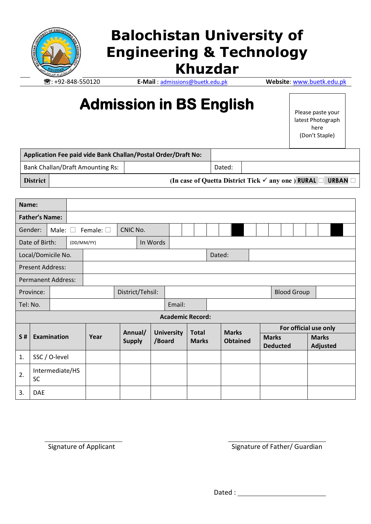

## **Balochistan University of Engineering & Technology Khuzdar**

: +92-848-550120 **E-Mail** : [admissions@buetk.edu.pk](mailto:admissions@buetk.edu.pk) **Website**[: www.buetk.edu.pk](http://www.buetk.edu.pk/)

# **Admission in BS English**

Please paste your latest Photograph here (Don't Staple)

|                 |                                         | Application Fee paid vide Bank Challan/Postal Order/Draft No: |        |                                                                                     |
|-----------------|-----------------------------------------|---------------------------------------------------------------|--------|-------------------------------------------------------------------------------------|
|                 | <b>Bank Challan/Draft Amounting Rs:</b> |                                                               | Dated: |                                                                                     |
| <b>District</b> |                                         |                                                               |        | (In case of Quetta District Tick $\checkmark$ any one) RURAL $\Box$<br><b>URBAN</b> |

| Name:                     |                         |                 |                        |                   |                  |  |                   |                    |  |              |                 |              |  |                                 |                       |  |                          |  |  |  |  |  |
|---------------------------|-------------------------|-----------------|------------------------|-------------------|------------------|--|-------------------|--------------------|--|--------------|-----------------|--------------|--|---------------------------------|-----------------------|--|--------------------------|--|--|--|--|--|
| <b>Father's Name:</b>     |                         |                 |                        |                   |                  |  |                   |                    |  |              |                 |              |  |                                 |                       |  |                          |  |  |  |  |  |
|                           | Gender:                 | Male: $\square$ |                        | Female: $\square$ |                  |  |                   |                    |  |              |                 |              |  |                                 |                       |  |                          |  |  |  |  |  |
|                           | Date of Birth:          |                 | In Words<br>(DD/MM/YY) |                   |                  |  |                   |                    |  |              |                 |              |  |                                 |                       |  |                          |  |  |  |  |  |
| Local/Domicile No.        |                         |                 |                        |                   |                  |  | Dated:            |                    |  |              |                 |              |  |                                 |                       |  |                          |  |  |  |  |  |
| <b>Present Address:</b>   |                         |                 |                        |                   |                  |  |                   |                    |  |              |                 |              |  |                                 |                       |  |                          |  |  |  |  |  |
| <b>Permanent Address:</b> |                         |                 |                        |                   |                  |  |                   |                    |  |              |                 |              |  |                                 |                       |  |                          |  |  |  |  |  |
|                           | Province:               |                 |                        |                   | District/Tehsil: |  |                   | <b>Blood Group</b> |  |              |                 |              |  |                                 |                       |  |                          |  |  |  |  |  |
| Tel: No.                  |                         |                 |                        |                   |                  |  |                   | Email:             |  |              |                 |              |  |                                 |                       |  |                          |  |  |  |  |  |
|                           | <b>Academic Record:</b> |                 |                        |                   |                  |  |                   |                    |  |              |                 |              |  |                                 |                       |  |                          |  |  |  |  |  |
|                           |                         |                 |                        |                   | Annual/          |  | <b>University</b> |                    |  | <b>Total</b> |                 | <b>Marks</b> |  |                                 | For official use only |  |                          |  |  |  |  |  |
| S#                        |                         | Examination     |                        | Year              | <b>Supply</b>    |  | /Board            | <b>Marks</b>       |  |              | <b>Obtained</b> |              |  | <b>Marks</b><br><b>Deducted</b> |                       |  | <b>Marks</b><br>Adjusted |  |  |  |  |  |
| 1.                        |                         | SSC / O-level   |                        |                   |                  |  |                   |                    |  |              |                 |              |  |                                 |                       |  |                          |  |  |  |  |  |
| 2.                        | <b>SC</b>               | Intermediate/HS |                        |                   |                  |  |                   |                    |  |              |                 |              |  |                                 |                       |  |                          |  |  |  |  |  |
| 3.<br><b>DAE</b>          |                         |                 |                        |                   |                  |  |                   |                    |  |              |                 |              |  |                                 |                       |  |                          |  |  |  |  |  |

Signature of Applicant Signature of Father/ Guardian

Dated : and the state of the state of the state of the state of the state of the state of the state of the state of the state of the state of the state of the state of the state of the state of the state of the state of th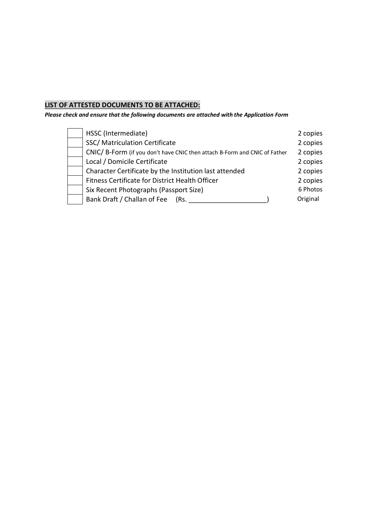### **LIST OF ATTESTED DOCUMENTS TO BE ATTACHED:**

*Please check and ensure that the following documents are attached with the Application Form*

| HSSC (Intermediate)                                                        | 2 copies |
|----------------------------------------------------------------------------|----------|
| SSC/ Matriculation Certificate                                             | 2 copies |
| CNIC/ B-Form (if you don't have CNIC then attach B-Form and CNIC of Father | 2 copies |
| Local / Domicile Certificate                                               | 2 copies |
| Character Certificate by the Institution last attended                     | 2 copies |
| Fitness Certificate for District Health Officer                            | 2 copies |
| Six Recent Photographs (Passport Size)                                     | 6 Photos |
| Bank Draft / Challan of Fee<br>(Rs.                                        | Original |